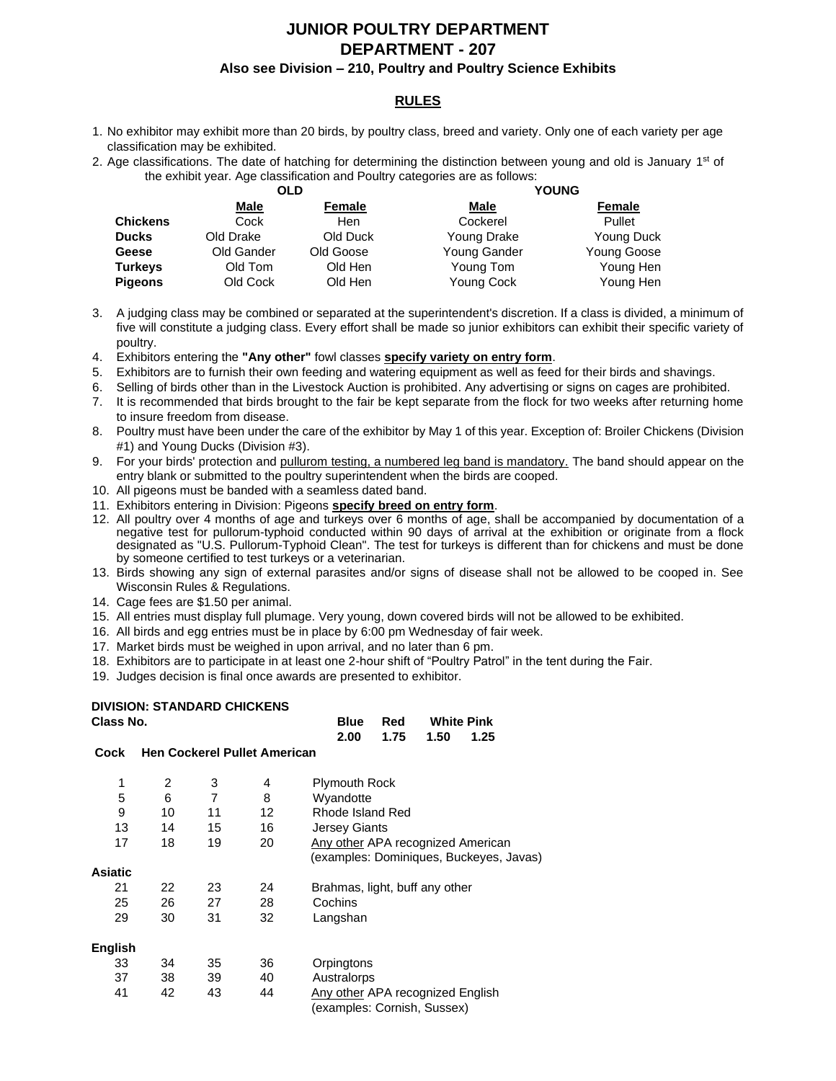# **JUNIOR POULTRY DEPARTMENT DEPARTMENT - 207**

#### **Also see Division – 210, Poultry and Poultry Science Exhibits**

## **RULES**

- 1. No exhibitor may exhibit more than 20 birds, by poultry class, breed and variety. Only one of each variety per age classification may be exhibited.
- 2. Age classifications. The date of hatching for determining the distinction between young and old is January 1<sup>st</sup> of the exhibit year. Age classification and Poultry categories are as follows:

|                 | OLD         |           | <b>YOUNG</b> |             |  |  |
|-----------------|-------------|-----------|--------------|-------------|--|--|
|                 | <b>Male</b> | Female    | Male         | Female      |  |  |
| <b>Chickens</b> | Cock        | Hen       | Cockerel     | Pullet      |  |  |
| <b>Ducks</b>    | Old Drake   | Old Duck  | Young Drake  | Young Duck  |  |  |
| Geese           | Old Gander  | Old Goose | Young Gander | Young Goose |  |  |
| <b>Turkeys</b>  | Old Tom     | Old Hen   | Young Tom    | Young Hen   |  |  |
| <b>Pigeons</b>  | Old Cock    | Old Hen   | Young Cock   | Young Hen   |  |  |

- 3. A judging class may be combined or separated at the superintendent's discretion. If a class is divided, a minimum of five will constitute a judging class. Every effort shall be made so junior exhibitors can exhibit their specific variety of poultry.
- 4. Exhibitors entering the **"Any other"** fowl classes **specify variety on entry form**.
- 5. Exhibitors are to furnish their own feeding and watering equipment as well as feed for their birds and shavings.
- 6. Selling of birds other than in the Livestock Auction is prohibited. Any advertising or signs on cages are prohibited.
- 7. It is recommended that birds brought to the fair be kept separate from the flock for two weeks after returning home to insure freedom from disease.
- 8. Poultry must have been under the care of the exhibitor by May 1 of this year. Exception of: Broiler Chickens (Division #1) and Young Ducks (Division #3).
- 9. For your birds' protection and pullurom testing, a numbered leg band is mandatory. The band should appear on the entry blank or submitted to the poultry superintendent when the birds are cooped.
- 10. All pigeons must be banded with a seamless dated band.
- 11. Exhibitors entering in Division: Pigeons **specify breed on entry form**.
- 12. All poultry over 4 months of age and turkeys over 6 months of age, shall be accompanied by documentation of a negative test for pullorum-typhoid conducted within 90 days of arrival at the exhibition or originate from a flock designated as "U.S. Pullorum-Typhoid Clean". The test for turkeys is different than for chickens and must be done by someone certified to test turkeys or a veterinarian.
- 13. Birds showing any sign of external parasites and/or signs of disease shall not be allowed to be cooped in. See Wisconsin Rules & Regulations.
- 14. Cage fees are \$1.50 per animal.
- 15. All entries must display full plumage. Very young, down covered birds will not be allowed to be exhibited.
- 16. All birds and egg entries must be in place by 6:00 pm Wednesday of fair week.
- 17. Market birds must be weighed in upon arrival, and no later than 6 pm.
- 18. Exhibitors are to participate in at least one 2-hour shift of "Poultry Patrol" in the tent during the Fair.
- 19. Judges decision is final once awards are presented to exhibitor.

## **DIVISION: STANDARD CHICKENS**

| Class No.      |    |    |                                     | <b>White Pink</b><br><b>Blue</b><br>Red |  |
|----------------|----|----|-------------------------------------|-----------------------------------------|--|
| Cock           |    |    | <b>Hen Cockerel Pullet American</b> | 2.00<br>1.75<br>1.50<br>1.25            |  |
|                |    |    |                                     |                                         |  |
| 1              | 2  | 3  | 4                                   | <b>Plymouth Rock</b>                    |  |
| 5              | 6  | 7  | 8                                   | Wyandotte                               |  |
| 9              | 10 | 11 | 12                                  | Rhode Island Red                        |  |
| 13             | 14 | 15 | 16                                  | <b>Jersey Giants</b>                    |  |
| 17             | 18 | 19 | 20                                  | Any other APA recognized American       |  |
|                |    |    |                                     | (examples: Dominiques, Buckeyes, Javas) |  |
| <b>Asiatic</b> |    |    |                                     |                                         |  |
| 21             | 22 | 23 | 24                                  | Brahmas, light, buff any other          |  |
| 25             | 26 | 27 | 28                                  | Cochins                                 |  |
| 29             | 30 | 31 | 32                                  | Langshan                                |  |
|                |    |    |                                     |                                         |  |
| English        |    |    |                                     |                                         |  |
| 33             | 34 | 35 | 36                                  | Orpingtons                              |  |
| 37             | 38 | 39 | 40                                  | Australorps                             |  |
| 41             | 42 | 43 | 44                                  | Any other APA recognized English        |  |
|                |    |    |                                     | (examples: Cornish, Sussex)             |  |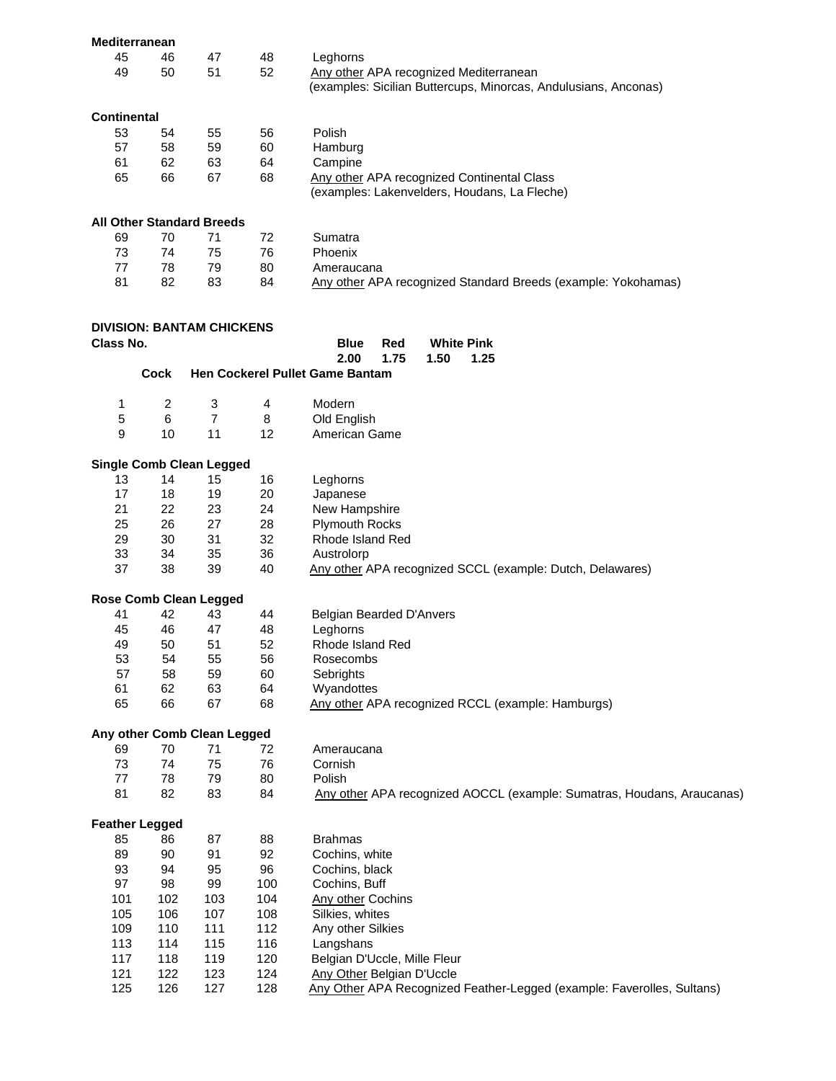| Mediterranean         |                |                                  |                |                                                                        |
|-----------------------|----------------|----------------------------------|----------------|------------------------------------------------------------------------|
| 45                    | 46             | 47                               | 48             | Leghorns                                                               |
| 49                    | 50             | 51                               | 52             | Any other APA recognized Mediterranean                                 |
|                       |                |                                  |                | (examples: Sicilian Buttercups, Minorcas, Andulusians, Anconas)        |
|                       |                |                                  |                |                                                                        |
| <b>Continental</b>    |                |                                  |                |                                                                        |
| 53                    | 54             | 55                               | 56             | Polish                                                                 |
| 57                    | 58             | 59                               | 60             | Hamburg                                                                |
|                       |                |                                  |                |                                                                        |
| 61                    | 62             | 63                               | 64             | Campine                                                                |
| 65                    | 66             | 67                               | 68             | Any other APA recognized Continental Class                             |
|                       |                |                                  |                | (examples: Lakenvelders, Houdans, La Fleche)                           |
|                       |                |                                  |                |                                                                        |
|                       |                | <b>All Other Standard Breeds</b> |                |                                                                        |
| 69                    | 70             | 71                               | 72             | Sumatra                                                                |
| 73                    | 74             | 75                               | 76             | Phoenix                                                                |
| 77                    | 78             | 79                               | 80             | Ameraucana                                                             |
| 81                    | 82             | 83                               | 84             | Any other APA recognized Standard Breeds (example: Yokohamas)          |
|                       |                |                                  |                |                                                                        |
|                       |                |                                  |                |                                                                        |
|                       |                | <b>DIVISION: BANTAM CHICKENS</b> |                |                                                                        |
| Class No.             |                |                                  |                | <b>White Pink</b>                                                      |
|                       |                |                                  |                | <b>Blue</b><br>Red                                                     |
|                       |                |                                  |                | 2.00<br>1.75<br>1.50<br>1.25                                           |
|                       | <b>Cock</b>    |                                  |                | Hen Cockerel Pullet Game Bantam                                        |
|                       |                |                                  |                |                                                                        |
| 1                     | $\overline{c}$ | 3                                | $\overline{4}$ | Modern                                                                 |
| 5                     | 6              | $\overline{7}$                   | 8              | Old English                                                            |
| 9                     | 10             | 11                               | 12             | American Game                                                          |
|                       |                |                                  |                |                                                                        |
|                       |                | <b>Single Comb Clean Legged</b>  |                |                                                                        |
| 13                    | 14             | 15                               | 16             | Leghorns                                                               |
| 17                    |                |                                  |                |                                                                        |
|                       | 18             | 19                               | 20             | Japanese                                                               |
| 21                    | 22             | 23                               | 24             | New Hampshire                                                          |
| 25                    | 26             | 27                               | 28             | <b>Plymouth Rocks</b>                                                  |
| 29                    | 30             | 31                               | 32             | Rhode Island Red                                                       |
| 33                    | 34             | 35                               | 36             | Austrolorp                                                             |
| 37                    | 38             | 39                               | 40             | Any other APA recognized SCCL (example: Dutch, Delawares)              |
|                       |                |                                  |                |                                                                        |
|                       |                | <b>Rose Comb Clean Legged</b>    |                |                                                                        |
| 41                    | 42             | 43                               | 44             | Belgian Bearded D'Anvers                                               |
| 45                    | 46             | 47                               | 48             | Leghorns                                                               |
| 49                    | 50             | 51                               | 52             | Rhode Island Red                                                       |
|                       |                |                                  |                |                                                                        |
| 53                    | 54             | 55                               | 56             | Rosecombs                                                              |
| 57                    | 58             | 59                               | 60             | Sebrights                                                              |
| 61                    | 62             | 63                               | 64             | Wyandottes                                                             |
| 65                    | 66             | 67                               | 68             | Any other APA recognized RCCL (example: Hamburgs)                      |
|                       |                |                                  |                |                                                                        |
|                       |                | Any other Comb Clean Legged      |                |                                                                        |
| 69                    | 70             | 71                               | 72             | Ameraucana                                                             |
| 73                    | 74             | 75                               | 76             | Cornish                                                                |
| 77                    | 78             | 79                               | 80             | Polish                                                                 |
| 81                    | 82             | 83                               | 84             | Any other APA recognized AOCCL (example: Sumatras, Houdans, Araucanas) |
|                       |                |                                  |                |                                                                        |
| <b>Feather Legged</b> |                |                                  |                |                                                                        |
| 85                    | 86             | 87                               | 88             | <b>Brahmas</b>                                                         |
| 89                    | 90             | 91                               | 92             | Cochins, white                                                         |
|                       |                |                                  |                |                                                                        |
| 93                    | 94             | 95                               | 96             | Cochins, black                                                         |
| 97                    | 98             | 99                               | 100            | Cochins, Buff                                                          |
| 101                   | 102            | 103                              | 104            | <b>Any other Cochins</b>                                               |
| 105                   | 106            | 107                              | 108            | Silkies, whites                                                        |
| 109                   | 110            | 111                              | 112            | Any other Silkies                                                      |
| 113                   | 114            | 115                              | 116            | Langshans                                                              |
| 117                   | 118            | 119                              | 120            | Belgian D'Uccle, Mille Fleur                                           |
| 121                   | 122            | 123                              | 124            | <b>Any Other Belgian D'Uccle</b>                                       |
| 125                   | 126            | 127                              | 128            | Any Other APA Recognized Feather-Legged (example: Faverolles, Sultans) |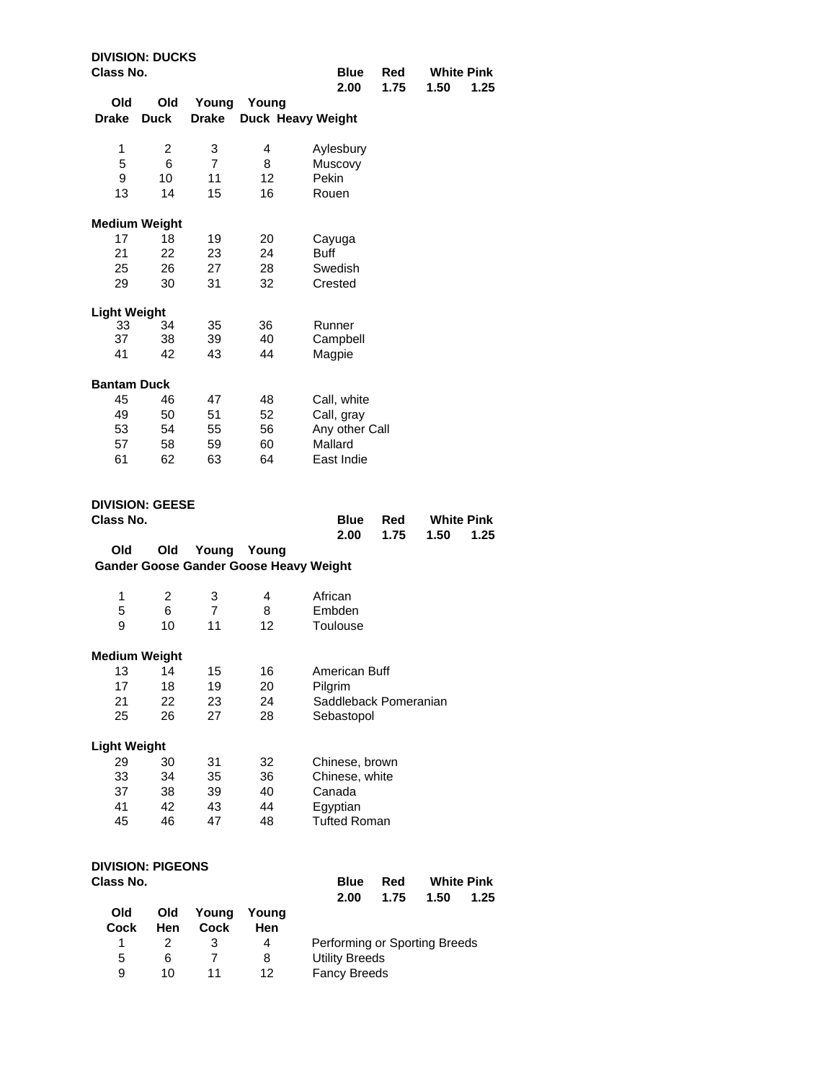| Class No.           | <b>DIVISION: DUCKS</b>   |                      |                                        | <b>Blue</b><br>2.00   | Red<br>1.75 | <b>White Pink</b><br>1.50<br>1.25 |
|---------------------|--------------------------|----------------------|----------------------------------------|-----------------------|-------------|-----------------------------------|
| Old                 | Old                      | Young                | Young                                  |                       |             |                                   |
| <b>Drake</b>        | <b>Duck</b>              | <b>Drake</b>         |                                        | Duck Heavy Weight     |             |                                   |
| 1                   | 2                        | 3                    | 4                                      | Aylesbury             |             |                                   |
| 5                   | 6                        | $\overline{7}$       | 8                                      | Muscovy               |             |                                   |
| 9                   | 10                       | 11                   | 12                                     | Pekin                 |             |                                   |
| 13                  | 14                       | 15                   | 16                                     | Rouen                 |             |                                   |
|                     | <b>Medium Weight</b>     |                      |                                        |                       |             |                                   |
| 17                  | 18                       | 19                   | 20                                     | Cayuga                |             |                                   |
| 21                  | 22                       | 23                   | 24                                     | <b>Buff</b>           |             |                                   |
| 25                  | 26                       | 27                   | 28                                     | Swedish               |             |                                   |
| 29                  | 30                       | 31                   | 32                                     | Crested               |             |                                   |
| <b>Light Weight</b> |                          |                      |                                        |                       |             |                                   |
| 33<br>37            | 34<br>38                 | 35<br>39             | 36<br>40                               | Runner<br>Campbell    |             |                                   |
| 41                  | 42                       | 43                   | 44                                     |                       |             |                                   |
|                     |                          |                      |                                        | Magpie                |             |                                   |
| <b>Bantam Duck</b>  |                          |                      |                                        |                       |             |                                   |
| 45                  | 46                       | 47                   | 48                                     | Call, white           |             |                                   |
| 49                  | 50                       | 51                   | 52                                     | Call, gray            |             |                                   |
| 53                  | 54                       | 55                   | 56                                     | Any other Call        |             |                                   |
| 57                  | 58                       | 59                   | 60                                     | Mallard               |             |                                   |
| 61                  | 62                       | 63                   | 64                                     | East Indie            |             |                                   |
|                     |                          |                      |                                        |                       |             |                                   |
| Class No.           | <b>DIVISION: GEESE</b>   |                      |                                        |                       |             |                                   |
|                     |                          |                      |                                        | <b>Blue</b><br>2.00   | Red<br>1.75 | <b>White Pink</b><br>1.50<br>1.25 |
| Old                 | Old                      | Young                | Young                                  |                       |             |                                   |
|                     |                          |                      | Gander Goose Gander Goose Heavy Weight |                       |             |                                   |
| 1                   | 2                        | 3                    | 4                                      | African               |             |                                   |
| 5                   | 6                        | 7                    | 8                                      | Embden                |             |                                   |
| 9                   | 10                       | 11                   | 12                                     | Toulouse              |             |                                   |
|                     | <b>Medium Weight</b>     |                      |                                        |                       |             |                                   |
| 13                  | 14                       | 15                   | 16                                     | American Buff         |             |                                   |
| 17                  | 18                       | 19                   | 20                                     | Pilgrim               |             |                                   |
| 21                  | 22                       | 23                   | 24                                     | Saddleback Pomeranian |             |                                   |
| 25                  | 26                       | 27                   | 28                                     | Sebastopol            |             |                                   |
| <b>Light Weight</b> |                          |                      |                                        |                       |             |                                   |
| 29                  | 30                       | 31                   | 32                                     | Chinese, brown        |             |                                   |
| 33                  | 34                       | 35                   | 36                                     | Chinese, white        |             |                                   |
| 37                  | 38                       | 39                   | 40                                     | Canada                |             |                                   |
| 41                  | 42                       | 43                   | 44                                     | Egyptian              |             |                                   |
| 45                  | 46                       | 47                   | 48                                     | <b>Tufted Roman</b>   |             |                                   |
|                     |                          |                      |                                        |                       |             |                                   |
|                     |                          |                      |                                        |                       |             |                                   |
|                     | <b>DIVISION: PIGEONS</b> |                      |                                        |                       |             |                                   |
| Class No.           |                          |                      |                                        | <b>Blue</b>           | Red         | <b>White Pink</b>                 |
|                     |                          |                      |                                        | 2.00                  | 1.75        | 1.50<br>1.25                      |
| Old<br>Cock         | Old<br>Hen               | Young<br><b>Cock</b> | Young<br>Hen                           |                       |             |                                   |

5 6 7 8 Utility Breeds 9 10 11 12 Fancy Breeds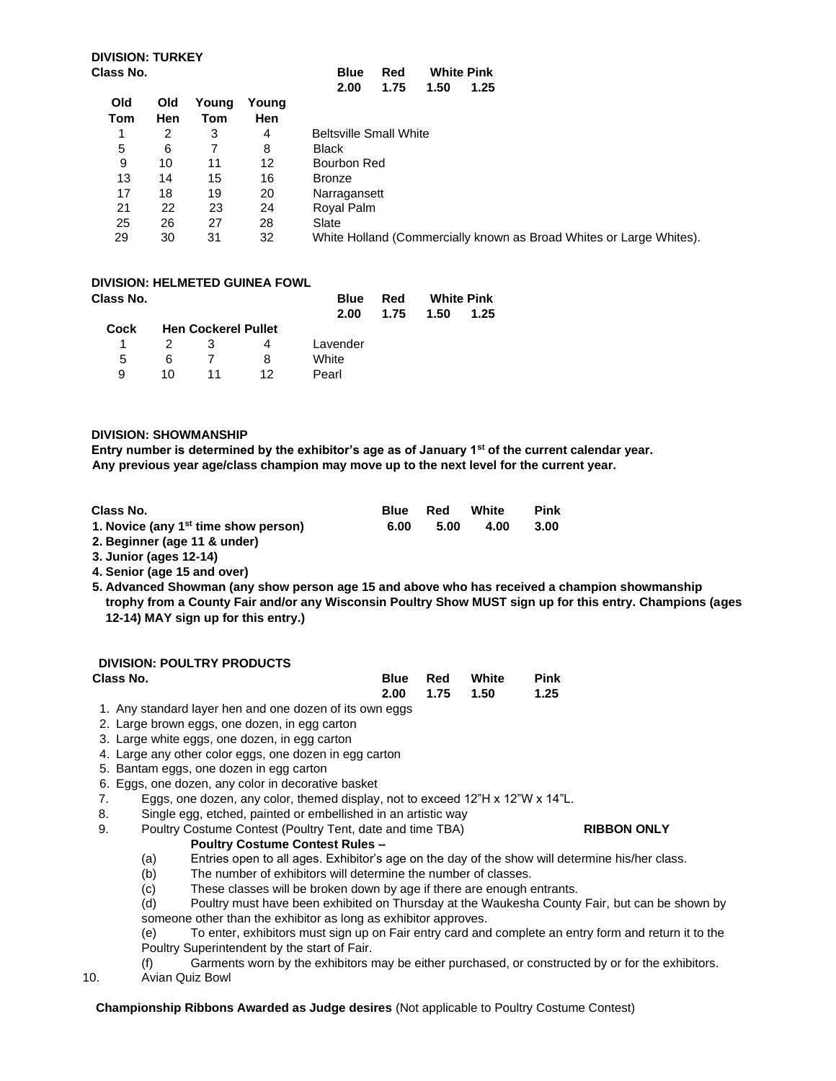|     |     |       |       | 1.50<br>2.00<br>1.75<br>1.25                                        |
|-----|-----|-------|-------|---------------------------------------------------------------------|
| Old | Old | Young | Young |                                                                     |
| Tom | Hen | Tom   | Hen   |                                                                     |
|     | 2   | 3     | 4     | <b>Beltsville Small White</b>                                       |
| 5   | 6   |       | 8     | <b>Black</b>                                                        |
| 9   | 10  | 11    | 12    | Bourbon Red                                                         |
| 13  | 14  | 15    | 16    | <b>Bronze</b>                                                       |
| 17  | 18  | 19    | 20    | Narragansett                                                        |
| 21  | 22  | 23    | 24    | Royal Palm                                                          |
| 25  | 26  | 27    | 28    | Slate                                                               |
| 29  | 30  | 31    | 32    | White Holland (Commercially known as Broad Whites or Large Whites). |

## **DIVISION: HELMETED GUINEA FOWL**

| Class No. |               |                            |    | <b>Blue</b> | Red  | <b>White Pink</b> |      |  |
|-----------|---------------|----------------------------|----|-------------|------|-------------------|------|--|
|           |               |                            |    | 2.00        | 1.75 | 1.50              | 1.25 |  |
| Cock      |               | <b>Hen Cockerel Pullet</b> |    |             |      |                   |      |  |
| 1         | $\mathcal{P}$ | 3                          | 4  | Lavender    |      |                   |      |  |
| 5         | 6             |                            | 8  | White       |      |                   |      |  |
| я         | 10            | 11                         | 12 | Pearl       |      |                   |      |  |

#### **DIVISION: SHOWMANSHIP**

**Entry number is determined by the exhibitor's age as of January 1st of the current calendar year. Any previous year age/class champion may move up to the next level for the current year.** 

| Class No.                                        | <b>Blue</b> | Red  | White | Pink |
|--------------------------------------------------|-------------|------|-------|------|
| 1. Novice (any 1 <sup>st</sup> time show person) | 6.00        | 5.00 | 4.00  | 3.00 |
| 2 Dominnor (ago 11 9 under)                      |             |      |       |      |

**2. Beginner (age 11 & under) 3. Junior (ages 12-14)** 

- **4. Senior (age 15 and over)**
- **5. Advanced Showman (any show person age 15 and above who has received a champion showmanship trophy from a County Fair and/or any Wisconsin Poultry Show MUST sign up for this entry. Champions (ages 12-14) MAY sign up for this entry.)**

## **DIVISION: POULTRY PRODUCTS**

| <b>PITION.</b> I OULTNT I RODOUD                                                                                |  |                       |      |
|-----------------------------------------------------------------------------------------------------------------|--|-----------------------|------|
| Class No.                                                                                                       |  | <b>Blue Red White</b> | Pink |
|                                                                                                                 |  | 2.00 1.75 1.50        | 1.25 |
| a and a baracelor and some home and a series of its sums a series of the baracelor of the baracelor of the bara |  |                       |      |

- 1. Any standard layer hen and one dozen of its own eggs
- 2. Large brown eggs, one dozen, in egg carton
- 3. Large white eggs, one dozen, in egg carton
- 4. Large any other color eggs, one dozen in egg carton
- 5. Bantam eggs, one dozen in egg carton
- 6. Eggs, one dozen, any color in decorative basket
- 7. Eggs, one dozen, any color, themed display, not to exceed 12"H x 12"W x 14"L.
- 8. Single egg, etched, painted or embellished in an artistic way

## 9. Poultry Costume Contest (Poultry Tent, date and time TBA) **RIBBON ONLY**

- **Poultry Costume Contest Rules –**
- (a) Entries open to all ages. Exhibitor's age on the day of the show will determine his/her class.
- (b) The number of exhibitors will determine the number of classes.
- (c) These classes will be broken down by age if there are enough entrants.

(d) Poultry must have been exhibited on Thursday at the Waukesha County Fair, but can be shown by someone other than the exhibitor as long as exhibitor approves.

(e) To enter, exhibitors must sign up on Fair entry card and complete an entry form and return it to the Poultry Superintendent by the start of Fair.

- (f) Garments worn by the exhibitors may be either purchased, or constructed by or for the exhibitors.
- 10. Avian Quiz Bowl

#### **Championship Ribbons Awarded as Judge desires** (Not applicable to Poultry Costume Contest)